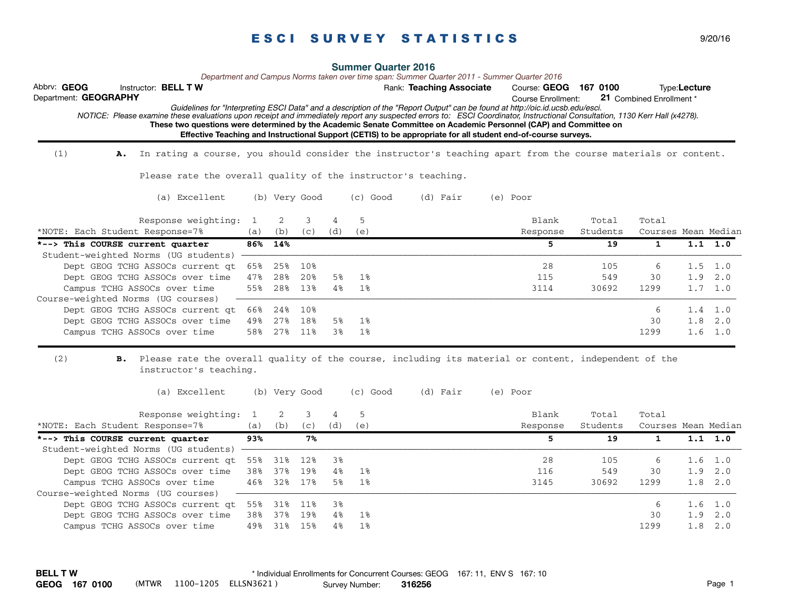|                                                                                                                                                                             |     |     |               |     | <b>Summer Quarter 2016</b> |                          | Department and Campus Norms taken over time span: Summer Quarter 2011 - Summer Quarter 2016                                                                                                                                        |          |                          |                 |                 |
|-----------------------------------------------------------------------------------------------------------------------------------------------------------------------------|-----|-----|---------------|-----|----------------------------|--------------------------|------------------------------------------------------------------------------------------------------------------------------------------------------------------------------------------------------------------------------------|----------|--------------------------|-----------------|-----------------|
| Abbrv: GEOG<br>Instructor: <b>BELL TW</b>                                                                                                                                   |     |     |               |     |                            | Rank: Teaching Associate | Course: GEOG 167 0100                                                                                                                                                                                                              |          |                          | Type:Lecture    |                 |
| Department: GEOGRAPHY                                                                                                                                                       |     |     |               |     |                            |                          | <b>Course Enrollment:</b><br>Guidelines for "Interpreting ESCI Data" and a description of the "Report Output" can be found at http://oic.id.ucsb.edu/esci.                                                                         |          | 21 Combined Enrollment * |                 |                 |
| NOTICE: Please examine these evaluations upon receipt and immediately report any suspected errors to: ESCI Coordinator, Instructional Consultation, 1130 Kerr Hall (x4278). |     |     |               |     |                            |                          |                                                                                                                                                                                                                                    |          |                          |                 |                 |
|                                                                                                                                                                             |     |     |               |     |                            |                          | These two questions were determined by the Academic Senate Committee on Academic Personnel (CAP) and Committee on<br>Effective Teaching and Instructional Support (CETIS) to be appropriate for all student end-of-course surveys. |          |                          |                 |                 |
|                                                                                                                                                                             |     |     |               |     |                            |                          |                                                                                                                                                                                                                                    |          |                          |                 |                 |
| (1)<br>In rating a course, you should consider the instructor's teaching apart from the course materials or content.<br>Α.                                                  |     |     |               |     |                            |                          |                                                                                                                                                                                                                                    |          |                          |                 |                 |
| Please rate the overall quality of the instructor's teaching.                                                                                                               |     |     |               |     |                            |                          |                                                                                                                                                                                                                                    |          |                          |                 |                 |
| (a) Excellent                                                                                                                                                               |     |     | (b) Very Good |     | $(c)$ Good                 | (d) Fair                 | (e) Poor                                                                                                                                                                                                                           |          |                          |                 |                 |
| Response weighting:                                                                                                                                                         | 1   | 2   | 3             | 4   | 5                          |                          | Blank                                                                                                                                                                                                                              | Total    | Total                    |                 |                 |
| *NOTE: Each Student Response=7%                                                                                                                                             | (a) | (b) | (c)           | (d) | (e)                        |                          | Response                                                                                                                                                                                                                           | Students | Courses Mean Median      |                 |                 |
| This COURSE current quarter<br>$+ - -$                                                                                                                                      | 86% | 14% |               |     |                            |                          | 5                                                                                                                                                                                                                                  | 19       | $\mathbf{1}$             |                 | $1.1 \quad 1.0$ |
| Student-weighted Norms (UG students)                                                                                                                                        |     |     |               |     |                            |                          |                                                                                                                                                                                                                                    |          |                          |                 |                 |
| Dept GEOG TCHG ASSOCs current qt                                                                                                                                            | 65% | 25% | 10%           |     |                            |                          | 28                                                                                                                                                                                                                                 | 105      | 6                        | 1.5             | 1.0             |
| Dept GEOG TCHG ASSOCs over time                                                                                                                                             | 47% | 28% | 20%           | 5%  | 1%                         |                          | 115                                                                                                                                                                                                                                | 549      | 30                       | 1.9             | 2.0             |
| Campus TCHG ASSOCs over time                                                                                                                                                | 55% | 28% | 13%           | 4%  | 1%                         |                          | 3114                                                                                                                                                                                                                               | 30692    | 1299                     | $1.7 \quad 1.0$ |                 |
| Course-weighted Norms (UG courses)                                                                                                                                          |     |     |               |     |                            |                          |                                                                                                                                                                                                                                    |          |                          |                 |                 |
| Dept GEOG TCHG ASSOCs current at                                                                                                                                            | 66% | 24% | 10%           |     |                            |                          |                                                                                                                                                                                                                                    |          | 6                        | $1.4 \quad 1.0$ |                 |
| Dept GEOG TCHG ASSOCs over time                                                                                                                                             | 49% | 27% | 18%           | 5%  | 1%                         |                          |                                                                                                                                                                                                                                    |          | 30                       | 1.8             | 2.0             |
| Campus TCHG ASSOCs over time                                                                                                                                                | 58% | 27% | 11%           | 3%  | 1%                         |                          |                                                                                                                                                                                                                                    |          | 1299                     | $1.6 \quad 1.0$ |                 |
| (2)<br>Please rate the overall quality of the course, including its material or content, independent of the<br>в.                                                           |     |     |               |     |                            |                          |                                                                                                                                                                                                                                    |          |                          |                 |                 |
| instructor's teaching.                                                                                                                                                      |     |     |               |     |                            |                          |                                                                                                                                                                                                                                    |          |                          |                 |                 |
| (a) Excellent                                                                                                                                                               |     |     | (b) Very Good |     | $(c)$ Good                 | (d) Fair                 | (e) Poor                                                                                                                                                                                                                           |          |                          |                 |                 |
| Response weighting:                                                                                                                                                         | 1   | 2   | 3             | 4   | 5                          |                          | Blank                                                                                                                                                                                                                              | Total    | Total                    |                 |                 |
| *NOTE: Each Student Response=7%                                                                                                                                             | (a) | (b) | (c)           | (d) | (e)                        |                          | Response                                                                                                                                                                                                                           | Students | Courses Mean Median      |                 |                 |
| This COURSE current quarter<br>*-->                                                                                                                                         | 93% |     | 7%            |     |                            |                          | 5                                                                                                                                                                                                                                  | 19       | $\mathbf{1}$             |                 | $1.1 \quad 1.0$ |
| Student-weighted Norms (UG students)                                                                                                                                        |     |     |               |     |                            |                          |                                                                                                                                                                                                                                    |          |                          |                 |                 |
| Dept GEOG TCHG ASSOCs current qt                                                                                                                                            | 55% | 31% | 12%           | 38  |                            |                          | 28                                                                                                                                                                                                                                 | 105      | 6                        | $1.6 \quad 1.0$ |                 |
| Dept GEOG TCHG ASSOCs over time                                                                                                                                             | 38% | 37% | 19%           | 4%  | 1%                         |                          | 116                                                                                                                                                                                                                                | 549      | 30                       | 1.9             | 2.0             |
| Campus TCHG ASSOCs over time                                                                                                                                                | 46% | 32% | 17%           | 5%  | 1%                         |                          | 3145                                                                                                                                                                                                                               | 30692    | 1299                     | 1.8             | 2.0             |
| Course-weighted Norms (UG courses)                                                                                                                                          |     |     |               |     |                            |                          |                                                                                                                                                                                                                                    |          |                          |                 |                 |
| Dept GEOG TCHG ASSOCs current qt                                                                                                                                            | 55% | 31% | 11%           | 38  |                            |                          |                                                                                                                                                                                                                                    |          | 6                        | 1.6             | 1.0             |
| Dept GEOG TCHG ASSOCs over time                                                                                                                                             | 38% | 37% | 19%           | 4%  | 1%                         |                          |                                                                                                                                                                                                                                    |          | 30                       | 1.9             | 2.0             |
| Campus TCHG ASSOCs over time                                                                                                                                                | 49% | 31% | 15%           | 4%  | 1%                         |                          |                                                                                                                                                                                                                                    |          | 1299                     | 1.8             | 2.0             |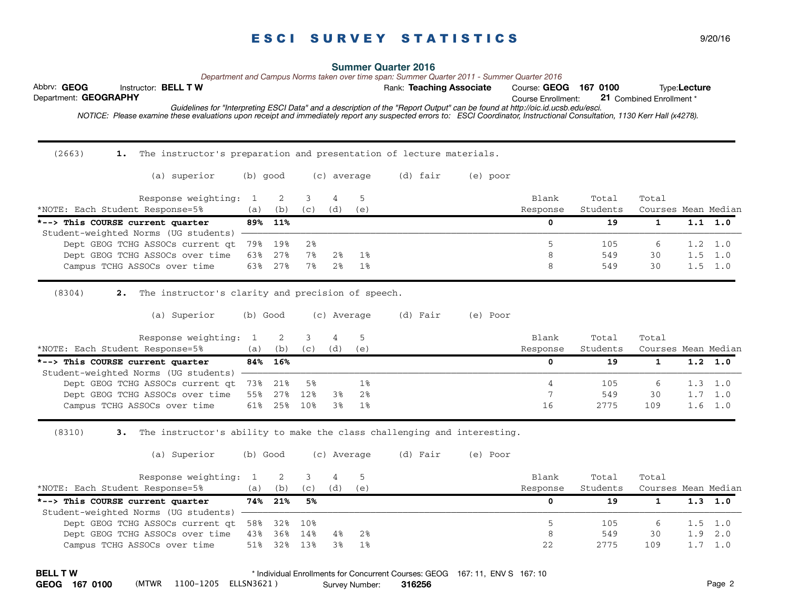Abbrv: GEOG **BELL TW BELL TW Example 20 Rank: Teaching Associate** Course: GEOG 167 0100 **Type:Lecture** Course Enrollment:  *NOTICE: Please examine these evaluations upon receipt and immediately report any suspected errors to: ESCI Coordinator, Instructional Consultation, 1130 Kerr Hall (x4278).*  Department: **GEOGRAPHY Summer Quarter 2016** 21 Combined Enrollment \* *Guidelines for "Interpreting ESCI Data" and a description of the "Report Output" can be found at http://oic.id.ucsb.edu/esci. Department and Campus Norms taken over time span: Summer Quarter 2011 - Summer Quarter 2016*  $(2663)$ 1. The instructor's preparation and presentation of lecture materials. (a) superior (b) good (c) average (d) fair (e) poor Response weighting: 1 2 3 4 5 Blank Total Total Total \*NOTE: Each Student Response=5% (a) (b) (c) (d) (e) Response Students Courses Mean Median **\*--> This COURSE current quarter 89% 11% 0 19 1 1.1 1.0**  Student-weighted Norms (UG students) ————————————————————————————————————————————————————————————————————————————————————————————— Dept GEOG TCHG ASSOCs current qt 79% 19% 2% 5 105 6 1.2 1.0 Dept GEOG TCHG ASSOCs over time 63% 27% 7% 2% 1% 8 549 30 1.5 1.0 Campus TCHG ASSOCs over time 63% 27% 7% 2% 1% 8 549 30 1.5 1.0 (8304) **2.**  2. The instructor's clarity and precision of speech. (a) Superior (b) Good (c) Average (d) Fair (e) Poor Response weighting: 1 2 3 4 5 Blank Total Total Total \*NOTE: Each Student Response=5% (a) (b) (c) (d) (e) Response Students Courses Mean Median **\*--> This COURSE current quarter 84% 16% 0 19 1 1.2 1.0**  Student-weighted Norms (UG students) -Dept GEOG TCHG ASSOCs current qt 73% 21% 5% 1% 1% 1% 1% 1% 1% 1% 1% 105 6 1.3 1.0 Dept GEOG TCHG ASSOCs over time 55% 27% 12% 3% 2% 7 7 549 30 1.7 1.0 Campus TCHG ASSOCs over time 61% 25% 10% 3% 1% 16 16 100 100 100 100 1.6 1.0 (8310) **3.**  3. The instructor's ability to make the class challenging and interesting. (a) Superior (b) Good (c) Average (d) Fair (e) Poor Response weighting: 1 2 3 4 5 Blank Total Total Total \*NOTE: Each Student Response=5% (a) (b) (c) (d) (e) Response Students Courses Mean Median **\*--> This COURSE current quarter 74% 21% 5% 0 19 1 1.3 1.0**  Student-weighted Norms (UG students) Dept GEOG TCHG ASSOCs current qt 58% 32% 10% 5 5 105 6 1.5 1.0 Dept GEOG TCHG ASSOCs over time 43% 36% 14% 4% 2% 8 549 30 1.9 2.0 Campus TCHG ASSOCs over time 51% 32% 13% 3% 1% 22 2775 109 1.7 1.0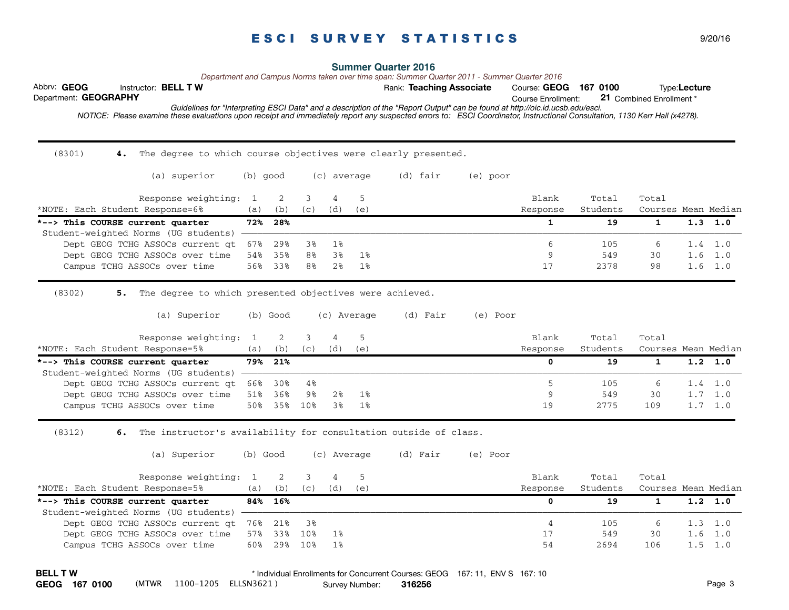Abbrv: GEOG **BELL TW BELL TW Example 20 Rank: Teaching Associate** Course: GEOG 167 0100 **Type:Lecture** Course Enrollment:  *NOTICE: Please examine these evaluations upon receipt and immediately report any suspected errors to: ESCI Coordinator, Instructional Consultation, 1130 Kerr Hall (x4278).*  Department: **GEOGRAPHY Summer Quarter 2016** 21 Combined Enrollment \* *Guidelines for "Interpreting ESCI Data" and a description of the "Report Output" can be found at http://oic.id.ucsb.edu/esci. Department and Campus Norms taken over time span: Summer Quarter 2011 - Summer Quarter 2016*  $(8301)$ 4. The degree to which course objectives were clearly presented. (a) superior (b) good (c) average (d) fair (e) poor Response weighting: 1 2 3 4 5 Blank Total Total Total \*NOTE: Each Student Response=6% (a) (b) (c) (d) (e) Response Students Courses Mean Median **\*-->** This COURSE current quarter 72% 28% 1 1 1.3 1.0 **1** 1.3 1.0 Student-weighted Norms (UG students) -Dept GEOG TCHG ASSOCs current qt 67% 29% 3% 1% 6 105 6 1.4 1.0 Dept GEOG TCHG ASSOCs over time 54% 35% 8% 3% 1% 9 549 30 1.6 1.0 Campus TCHG ASSOCs over time 56% 33% 8% 2% 1% 17 17 12378 98 1.6 1.0 (8302) **5.**  5. The degree to which presented objectives were achieved. (a) Superior (b) Good (c) Average (d) Fair (e) Poor Response weighting: 1 2 3 4 5 Blank Total Total Total \*NOTE: Each Student Response=5% (a) (b) (c) (d) (e) Response Students Courses Mean Median **\*--> This COURSE current quarter 79% 21% 0 19 1 1.2 1.0**  Student-weighted Norms (UG students) -Dept GEOG TCHG ASSOCs current qt 66% 30% 4% 5 105 6 1.4 1.0 Dept GEOG TCHG ASSOCs over time 51% 36% 9% 2% 1% 9 549 30 1.7 1.0 Campus TCHG ASSOCs over time 50% 35% 10% 3% 1% 19 19 1.9 1.0 1.7 1.0 (8312) **6.**  6. The instructor's availability for consultation outside of class. (a) Superior (b) Good (c) Average (d) Fair (e) Poor Response weighting: 1 2 3 4 5 Blank Total Total Total \*NOTE: Each Student Response=5% (a) (b) (c) (d) (e) Response Students Courses Mean Median **\*--> This COURSE current quarter 84% 16% 0 19 1 1.2 1.0**  Student-weighted Norms (UG students) -Dept GEOG TCHG ASSOCs current qt 76% 21% 3% 4 105 6 1.3 1.0 Dept GEOG TCHG ASSOCs over time 57% 33% 10% 1% 18 18 18 17 17 18 19 16 1.0 Campus TCHG ASSOCs over time 50% 29% 10% 1% 54 54 2694 106 1.5 1.0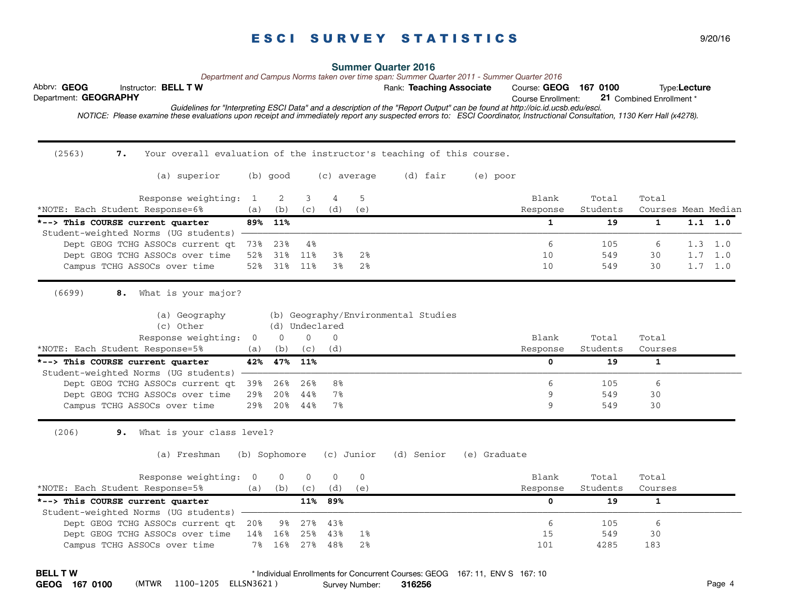Abbrv: GEOG **BELL TW BELL TW Example 20 Rank: Teaching Associate** Course: GEOG 167 0100 **Type:Lecture** Course Enrollment:  *NOTICE: Please examine these evaluations upon receipt and immediately report any suspected errors to: ESCI Coordinator, Instructional Consultation, 1130 Kerr Hall (x4278).*  Department: **GEOGRAPHY Summer Quarter 2016** 21 Combined Enrollment \* *Guidelines for "Interpreting ESCI Data" and a description of the "Report Output" can be found at http://oic.id.ucsb.edu/esci. Department and Campus Norms taken over time span: Summer Quarter 2011 - Summer Quarter 2016* (2563) **7.**  Your overall evaluation of the instructor's teaching of this course. (a) superior (b) good (c) average (d) fair (e) poor Response weighting: 1 2 3 4 5 Blank Total Total Total \*NOTE: Each Student Response=6% (a) (b) (c) (d) (e) Response Students Courses Mean Median **\*-->** This COURSE current quarter 89% 11% 1 1 1 1.0 **1 1 1.1 1.0 1 1.1 1.0** Student-weighted Norms (UG students) -Dept GEOG TCHG ASSOCs current qt 73% 23% 4% 6 105 6 1.3 1.0 Dept GEOG TCHG ASSOCs over time 52% 31% 11% 3% 2% 10 10 549 30 1.7 1.0 Campus TCHG ASSOCs over time 52% 31% 11% 3% 2% 10 10 549 30 1.7 1.0 (6699) **8.**  8. What is your major? (a) Geography (b) Geography/Environmental Studies (c) Other (d) Undeclared Response weighting: 0 0 0 0 0 0 0 Blank Total Total \*NOTE: Each Student Response=5% (a) (b) (c) (d) Response Students Courses **\*--> This COURSE current quarter 42% 47% 11% 0 19 1**  Student-weighted Norms (UG students) -Dept GEOG TCHG ASSOCs current qt 39% 26% 26% 8% 6 105 6 105 6 105 6 105 6 105 6 105 6 105 6 105 6 105 6 105 6 10 Dept GEOG TCHG ASSOCs over time 29% 20% 44% 7% 9 549 30 Campus TCHG ASSOCs over time 29% 20% 44% 7% **9** 549 30  $(206)$ 9. What is your class level? (a) Freshman (b) Sophomore (c) Junior (d) Senior (e) Graduate Response weighting: 0 0 0 0 0 0 0 0 Blank Total Total \*NOTE: Each Student Response=5% (a) (b) (c) (d) (e) Response Students Courses **\*--> This COURSE current quarter 11% 89% 0 19 1**  Student-weighted Norms (UG students) - Dept GEOG TCHG ASSOCs current qt 20% 9% 27% 43% 6 105 6 Dept GEOG TCHG ASSOCs over time 14% 16% 25% 43% 1% 16 15 15 15 15 16 16 16 16 16 16 17 16 17 16 17 16 17 17 17 1 Campus TCHG ASSOCs over time 7% 16% 27% 48% 2% 101 4285 183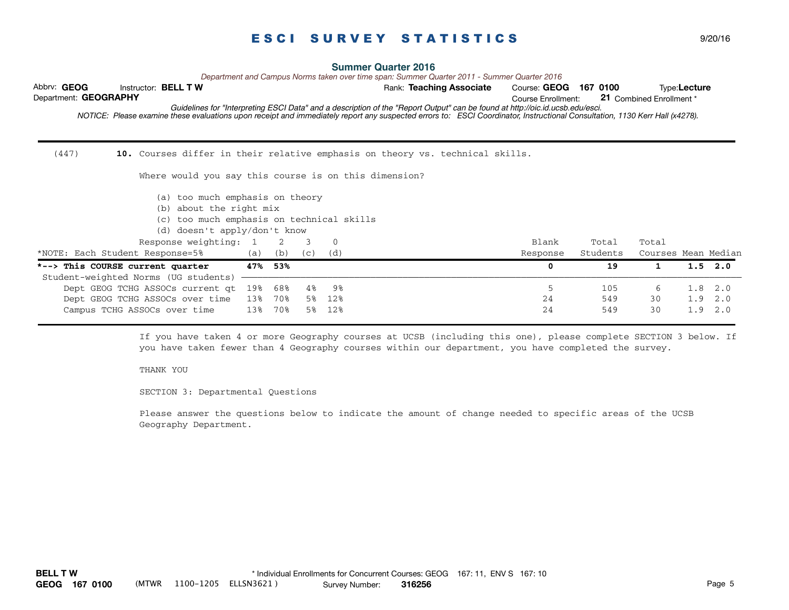Abbrv: GEOG **BELL TW BELL TW Example 20 Rank: Teaching Associate** Course: GEOG 167 0100 **Type:Lecture** Course Enrollment:  *NOTICE: Please examine these evaluations upon receipt and immediately report any suspected errors to: ESCI Coordinator, Instructional Consultation, 1130 Kerr Hall (x4278).*  Department: **GEOGRAPHY Summer Quarter 2016** 21 Combined Enrollment \* *Guidelines for "Interpreting ESCI Data" and a description of the "Report Output" can be found at http://oic.id.ucsb.edu/esci. Department and Campus Norms taken over time span: Summer Quarter 2011 - Summer Quarter 2016*  $(447)$ 10. Courses differ in their relative emphasis on theory vs. technical skills. Where would you say this course is on this dimension? (a) too much emphasis on theory (b) about the right mix (c) too much emphasis on technical skills (d) doesn't apply/don't know Response weighting: 1 2 3 0 Blank Total Total Total \*NOTE: Each Student Response=5% (a) (b) (c) (d) Response Students Courses Mean Median **\*--> This COURSE current quarter 47% 53% 0 19 1 1.5 2.0**  Student-weighted Norms (UG students) -Dept GEOG TCHG ASSOCs current qt 19% 68% 4% 9% 5 105 6 1.8 2.0 Dept GEOG TCHG ASSOCs over time 13% 70% 5% 12% 24 549 30 1.9 2.0 Campus TCHG ASSOCs over time  $13\%$  70% 5% 12% 29 20 1.9 2.0 **The Academic Personnel (CAP) and Committee on Academic Personnel (CAP) and Academic Personnel (CAP) and Committee on**  $24$  **2.0**  $24$  **30 1.9 2.0** 

> If you have taken 4 or more Geography courses at UCSB (including this one), please complete SECTION 3 below. If you have taken fewer than 4 Geography courses within our department, you have completed the survey.

#### THANK YOU

SECTION 3: Departmental Questions

Please answer the questions below to indicate the amount of change needed to specific areas of the UCSB Geography Department.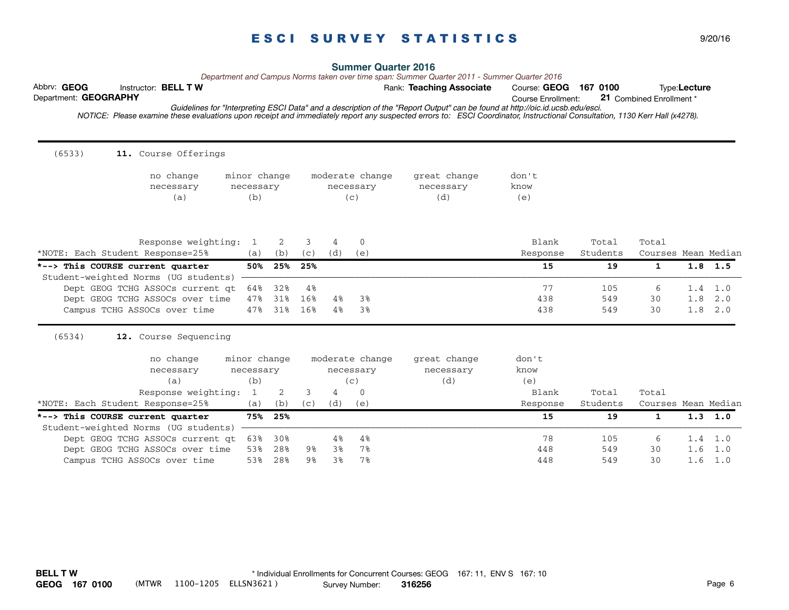Abbrv: GEOG **BELL TW BELL TW Example 20 Rank: Teaching Associate** Course: GEOG 167 0100 **Type:Lecture** Course Enrollment:  *NOTICE: Please examine these evaluations upon receipt and immediately report any suspected errors to: ESCI Coordinator, Instructional Consultation, 1130 Kerr Hall (x4278).*  Department: **GEOGRAPHY** 21 Combined Enrollment \* *Guidelines for "Interpreting ESCI Data" and a description of the "Report Output" can be found at http://oic.id.ucsb.edu/esci.*  $(6533)$ 11. Course Offerings no change minor change moderate change great change don't necessary necessary necessary necessary know (a) (b) (c) (d) (e) Response weighting: 1 2 3 4 0 Blank Total Total Total \*NOTE: Each Student Response=25% (a) (b) (c) (d) (e) Response Students Courses Mean Median **\*--> This COURSE current quarter 50% 25% 25% 15 19 1 1.8 1.5**  Student-weighted Norms (UG students) Dept GEOG TCHG ASSOCs current qt 64% 32% 4% 77 7 105 6 1.4 1.0 Dept GEOG TCHG ASSOCs over time 47% 31% 16% 4% 3% 438 438 549 30 1.8 2.0 Campus TCHG ASSOCs over time 47% 31% 16% 4% 3% 1988 100 1.8 2.0 **Academic Personnel Academic Personnel (CAP)** and Academic Personnel (CAP) and Academic Personnel (CAP) and Committee on  $\frac{1}{2}$  and Committee on  $\frac{1}{2}$  (6534) **12.**  12. Course Sequencing no change minor change moderate change great change don't necessary necessary necessary necessary know (a) (b) (c) (d) (e) Response weighting: 1 2 3 4 0 Blank Total Total Total \*NOTE: Each Student Response=25% (a) (b) (c) (d) (e) Response Students Courses Mean Median **\*--> This COURSE current quarter 75% 25% 15 19 1 1.3 1.0**  Student-weighted Norms (UG students) Dept GEOG TCHG ASSOCs current qt 63% 30% 4% 4% 78 78 105 6 1.4 1.0 Dept GEOG TCHG ASSOCs over time 53% 28% 9% 3% 7% 448 448 549 30 1.6 1.0 Campus TCHG ASSOCs over time 53% 28% 9% 3% 7% 16 1.0 448 549 30 1.6 1.0

## **Summer Quarter 2016**

*Department and Campus Norms taken over time span: Summer Quarter 2011 - Summer Quarter 2016*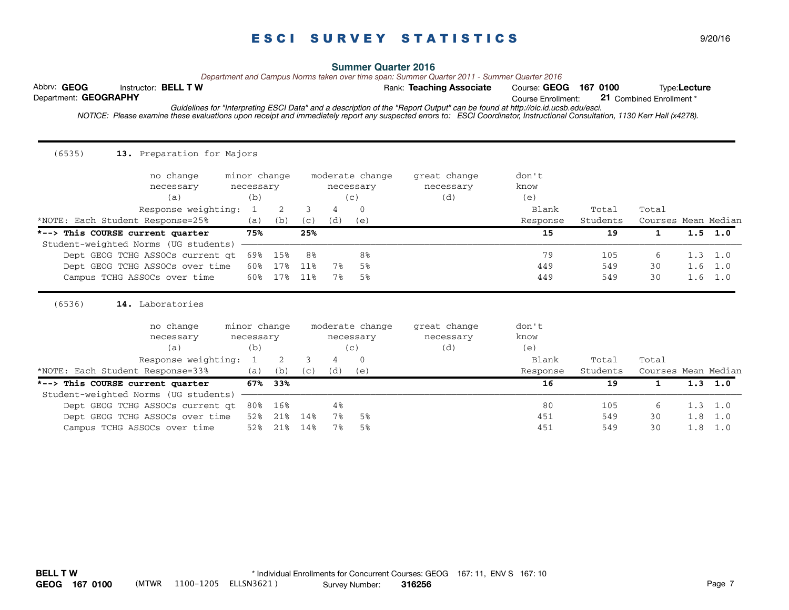| (6535)<br>13. Preparation for Majors |              |     |           |           |                 |              |          |          |                     |     |           |
|--------------------------------------|--------------|-----|-----------|-----------|-----------------|--------------|----------|----------|---------------------|-----|-----------|
| no change                            | minor change |     |           |           | moderate change | great change | don't    |          |                     |     |           |
| necessary                            | necessary    |     | necessary |           |                 | necessary    | know     |          |                     |     |           |
| (a)                                  | (b)          |     |           |           | (c)             | (d)          | (e)      |          |                     |     |           |
| Response weighting:                  | 1            | 2   | 3         | 4         | 0               |              | Blank    | Total    | Total               |     |           |
| *NOTE: Each Student Response=25%     | (a)          | (b) | (C)       | (d)       | (e)             |              | Response | Students | Courses Mean Median |     |           |
| *--> This COURSE current quarter     | 75%          |     | 25%       |           |                 |              | 15       | 19       | $\mathbf{1}$        |     | $1.5$ 1.0 |
| Student-weighted Norms (UG students) |              |     |           |           |                 |              |          |          |                     |     |           |
| Dept GEOG TCHG ASSOCs current at     | 69%          | 15% | 8%        |           | 8%              |              | 79       | 105      | 6                   | 1.3 | 1.0       |
| Dept GEOG TCHG ASSOCs over time      | 60%          | 17% | 11%       | 7%        | 5%              |              | 449      | 549      | 30                  | 1.6 | 1.0       |
| Campus TCHG ASSOCs over time         | 60%          | 17% | 11%       | 7%        | 5%              |              | 449      | 549      | 30                  | 1.6 | 1.0       |
| (6536)<br>14. Laboratories           |              |     |           |           |                 |              |          |          |                     |     |           |
| no change                            | minor change |     |           |           | moderate change | great change | don't    |          |                     |     |           |
| necessary                            | necessary    |     |           | necessary |                 | necessary    | know     |          |                     |     |           |
| (a)                                  | (b)          |     | (c)       |           |                 | (d)          | (e)      |          |                     |     |           |
| Response weighting:                  | 1            | 2   | 3         | 4         | $\mathbf{0}$    |              | Blank    | Total    | Total               |     |           |
| *NOTE: Each Student Response=33%     | (a)          | (b) | (c)       | (d)       | (e)             |              | Response | Students | Courses Mean Median |     |           |
| *--> This COURSE current quarter     | 67%          | 33% |           |           |                 |              | 16       | 19       | 1                   |     | $1.3$ 1.0 |
| Student-weighted Norms (UG students) |              |     |           |           |                 |              |          |          |                     |     |           |
| Dept GEOG TCHG ASSOCs current qt     | 80%          | 16% |           | 4%        |                 |              | 80       | 105      | 6                   | 1.3 | 1.0       |
| Dept GEOG TCHG ASSOCs over time      | 52%          | 21% | 14%       | 7%        | 5%              |              | 451      | 549      | 30                  | 1.8 | 1.0       |
| Campus TCHG ASSOCs over time         | 52%          | 21% | 14%       | 7%        | 5%              |              | 451      | 549      | 30                  | 1.8 | 1.0       |

## **Summer Quarter 2016**

*Department and Campus Norms taken over time span: Summer Quarter 2011 - Summer Quarter 2016*

Abbrv: GEOG **BELL TW BELL TW Example 20 Rank: Teaching Associate** Course: GEOG 167 0100 **Type:Lecture** Department: **GEOGRAPHY** 

21 Combined Enrollment \*

Course Enrollment: *Guidelines for "Interpreting ESCI Data" and a description of the "Report Output" can be found at http://oic.id.ucsb.edu/esci.*

Survey Number: **BELL T W GEOG 167 0100** (MTWR 1100-1205 ELLSN3621 ) **316256** Page 7 \* Individual Enrollments for Concurrent Courses: GEOG 167: 11, ENV S 167: 10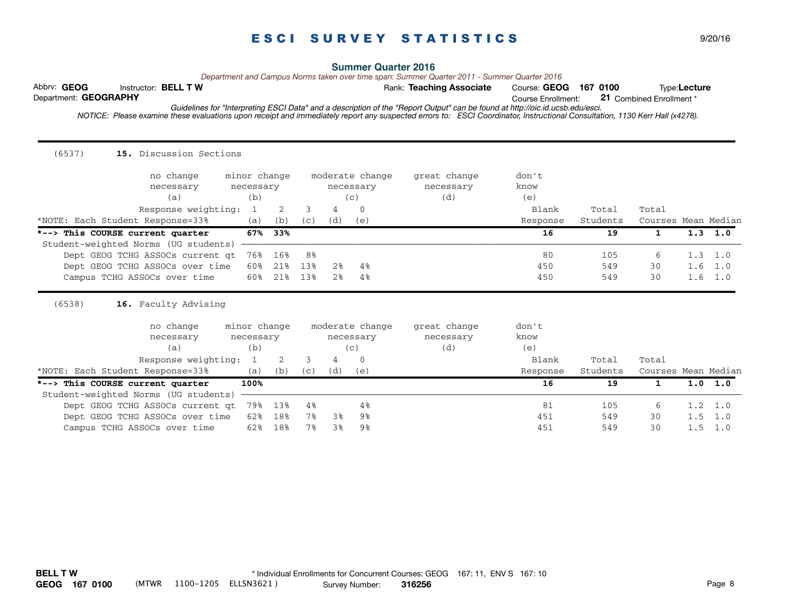| (6537)<br>15. Discussion Sections                                                                   |                                                  |                   |                  |                                  |                                                    |                                  |                               |                   |                     |            |                               |
|-----------------------------------------------------------------------------------------------------|--------------------------------------------------|-------------------|------------------|----------------------------------|----------------------------------------------------|----------------------------------|-------------------------------|-------------------|---------------------|------------|-------------------------------|
| no change<br>necessary<br>(a)<br>Response weighting:                                                | minor change<br>necessary<br>(b)<br>$\mathbf{1}$ | 2                 | 3                | 4                                | moderate change<br>necessary<br>(c)<br>$\Omega$    | great change<br>necessary<br>(d) | don't<br>know<br>(e)<br>Blank | Total             | Total               |            |                               |
| *NOTE: Each Student Response=33%                                                                    | (a)                                              | (b)               | (C)              | (d)                              | (e)                                                |                                  | Response                      | Students          | Courses Mean Median |            |                               |
| *--> This COURSE current quarter<br>Student-weighted Norms (UG students)                            | 67%                                              | 33%               |                  |                                  |                                                    |                                  | 16                            | 19                | $\mathbf{1}$        |            | $1.3$ 1.0                     |
| Dept GEOG TCHG ASSOCs current at<br>Dept GEOG TCHG ASSOCs over time<br>Campus TCHG ASSOCs over time | 76%<br>60%<br>60%                                | 16%<br>21%<br>21% | 8%<br>13%<br>13% | 2 <sup>8</sup><br>2 <sup>8</sup> | 4%<br>$4\%$                                        |                                  | 80<br>450<br>450              | 105<br>549<br>549 | 6<br>30<br>30       | 1.6<br>1.6 | $1.3 \quad 1.0$<br>1.0<br>1.0 |
| (6538)<br>16. Faculty Advising                                                                      |                                                  |                   |                  |                                  |                                                    |                                  |                               |                   |                     |            |                               |
| no change<br>necessary<br>(a)<br>Response weighting:                                                | minor change<br>necessary<br>(b)<br>1            | 2                 | 3<br>4           |                                  | moderate change<br>necessary<br>(c)<br>$\mathbf 0$ | great change<br>necessary<br>(d) | don't<br>know<br>(e)<br>Blank | Total             | Total               |            |                               |
| *NOTE: Each Student Response=33%                                                                    | (a)                                              | (b)               | (C)              | (d)                              | (e)                                                |                                  | Response                      | Students          | Courses Mean Median |            |                               |
| *--> This COURSE current quarter<br>Student-weighted Norms (UG students)                            | 100%                                             |                   |                  |                                  |                                                    |                                  | 16                            | 19                | 1                   |            | 1.0 1.0                       |
| Dept GEOG TCHG ASSOCs current qt                                                                    | 79%                                              | 13%               | 4%               |                                  | 4%                                                 |                                  | 81                            | 105               | 6                   | 1.2        | 1.0                           |
| Dept GEOG TCHG ASSOCs over time                                                                     | 62%                                              | 18%               | 7%               | 3%                               | 9%                                                 |                                  | 451                           | 549               | 30                  | 1.5        | 1.0                           |
| Campus TCHG ASSOCs over time                                                                        | 62%                                              | 18%               | 7%               | 3%                               | 9%                                                 |                                  | 451                           | 549               | 30                  | 1.5        | 1.0                           |

## **Summer Quarter 2016**

*Department and Campus Norms taken over time span: Summer Quarter 2011 - Summer Quarter 2016*<br>Rank: **Teaching Associate** Course: GEO

Abbrv: GEOG **BELL TW BELL TW Example 20 Rank: Teaching Associate** Course: GEOG 167 0100 **Type:Lecture** Department: **GEOGRAPHY** 

21 Combined Enrollment \*

Course Enrollment: *Guidelines for "Interpreting ESCI Data" and a description of the "Report Output" can be found at http://oic.id.ucsb.edu/esci.*

Survey Number: **BELL T W GEOG 167 0100** (MTWR 1100-1205 ELLSN3621 ) **316256** Page 8 \* Individual Enrollments for Concurrent Courses: GEOG 167: 11, ENV S 167: 10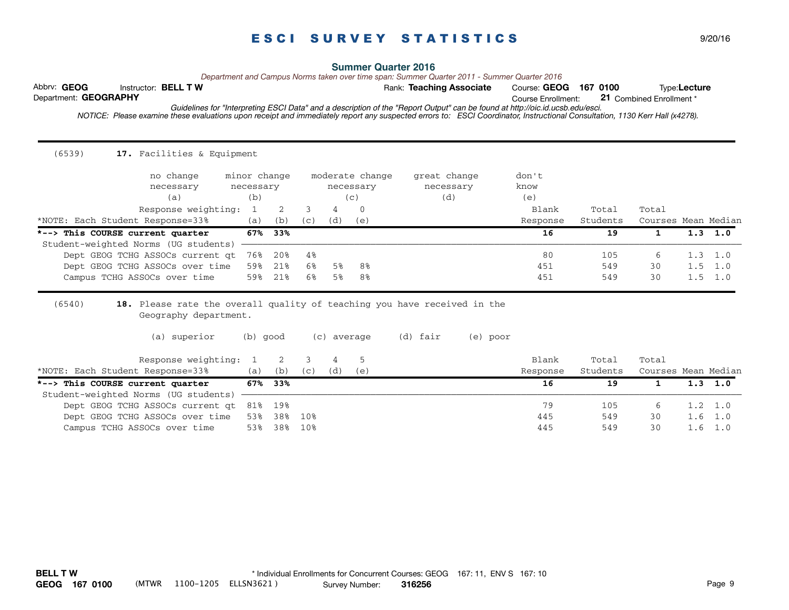Course Enrollment:  *NOTICE: Please examine these evaluations upon receipt and immediately report any suspected errors to: ESCI Coordinator, Instructional Consultation, 1130 Kerr Hall (x4278).*  Department: **GEOGRAPHY** 21 Combined Enrollment \* *Guidelines for "Interpreting ESCI Data" and a description of the "Report Output" can be found at http://oic.id.ucsb.edu/esci.*  $(6539)$ 17. Facilities & Equipment no change minor change moderate change great change don't necessary necessary necessary necessary know (a) (b) (c) (d) (e) Response weighting: 1 2 3 4 0 Blank Total Total Total \*NOTE: Each Student Response=33% (a) (b) (c) (d) (e) Response Students Courses Mean Median **\*--> This COURSE current quarter 67% 33% 16 19 1 1.3 1.0**  Student-weighted Norms (UG students) Dept GEOG TCHG ASSOCs current qt 76% 20% 4% 80 30 105 6 1.3 1.0 Dept GEOG TCHG ASSOCs over time 59% 21% 6% 5% 8% 451 549 30 1.5 1.0 Campus TCHG ASSOCs over time 59% 21% 6% 5% 8% 451 549 30 1.5 1.0 **These two questions were determined by the Academic Senate Committee on Academic Personnel (CAP) and Committee on**  (6540) **18.**  18. Please rate the overall quality of teaching you have received in the Geography department. (a) superior (b) good (c) average (d) fair (e) poor Response weighting: 1 2 3 4 5 Blank Total Total Total \*NOTE: Each Student Response=33% (a) (b) (c) (d) (e) Response Students Courses Mean Median **\*--> This COURSE current quarter 67% 33% 16 19 1 1.3 1.0**  Student-weighted Norms (UG students) Dept GEOG TCHG ASSOCs current qt 81% 19% 79 105 6 1.2 1.0 Dept GEOG TCHG ASSOCs over time 53% 38% 10% 46 10% 445 549 30 1.6 1.0 Campus TCHG ASSOCs over time 53% 38% 10% 10% 10% 10% 445 549 30 1.6 1.0

*Department and Campus Norms taken over time span: Summer Quarter 2011 - Summer Quarter 2016*

Survey Number: **BELL T W GEOG 167 0100** (MTWR 1100-1205 ELLSN3621 ) **316256** Page 9 \* Individual Enrollments for Concurrent Courses: GEOG 167: 11, ENV S 167: 10

Abbrv: GEOG **BELL TW BELL TW Example 20 Rank: Teaching Associate** Course: GEOG 167 0100 **Type:Lecture**